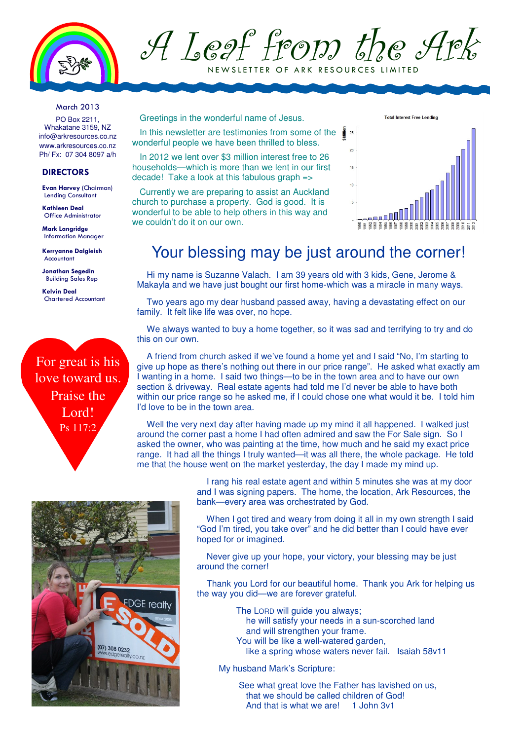

A Leaf from the Ark NEW SLETTER OF ARK RESOURCES LIMITED

March 2013

PO Box 2211, Whakatane 3159, NZ info@arkresources.co.nz www.arkresources.co.nz Ph/ Fx: 07 304 8097 a/h

#### DIRECTORS

Evan Harvey (Chairman) Lending Consultant

Kathleen Deal Office Administrator

Mark Langridge Information Manager

Kerryanne Dalgleish Accountant

Jonathan Segedin Building Sales Rep

Kelvin Deal Chartered Accountant

For great is his love toward us. Praise the Lord! Ps 117:2

Greetings in the wonderful name of Jesus.

In this newsletter are testimonies from some of the wonderful people we have been thrilled to bless.

In 2012 we lent over \$3 million interest free to 26 households—which is more than we lent in our first decade! Take a look at this fabulous graph =>

Currently we are preparing to assist an Auckland church to purchase a property. God is good. It is wonderful to be able to help others in this way and we couldn't do it on our own.



### Your blessing may be just around the corner!

Hi my name is Suzanne Valach. I am 39 years old with 3 kids, Gene, Jerome & Makayla and we have just bought our first home-which was a miracle in many ways.

Two years ago my dear husband passed away, having a devastating effect on our family. It felt like life was over, no hope.

We always wanted to buy a home together, so it was sad and terrifying to try and do this on our own.

A friend from church asked if we've found a home yet and I said "No, I'm starting to give up hope as there's nothing out there in our price range". He asked what exactly am I wanting in a home. I said two things—to be in the town area and to have our own section & driveway. Real estate agents had told me I'd never be able to have both within our price range so he asked me, if I could chose one what would it be. I told him I'd love to be in the town area.

Well the very next day after having made up my mind it all happened. I walked just around the corner past a home I had often admired and saw the For Sale sign. So I asked the owner, who was painting at the time, how much and he said my exact price range. It had all the things I truly wanted—it was all there, the whole package. He told me that the house went on the market yesterday, the day I made my mind up.



 I rang his real estate agent and within 5 minutes she was at my door and I was signing papers. The home, the location, Ark Resources, the bank—every area was orchestrated by God.

When I got tired and weary from doing it all in my own strength I said "God I'm tired, you take over" and he did better than I could have ever hoped for or imagined.

 Never give up your hope, your victory, your blessing may be just around the corner!

 Thank you Lord for our beautiful home. Thank you Ark for helping us the way you did—we are forever grateful.

The LORD will guide you always;

 he will satisfy your needs in a sun-scorched land and will strengthen your frame.

- You will be like a well-watered garden,
	- like a spring whose waters never fail. Isaiah 58v11

My husband Mark's Scripture:

See what great love the Father has lavished on us, that we should be called children of God! And that is what we are! 1 John 3v1